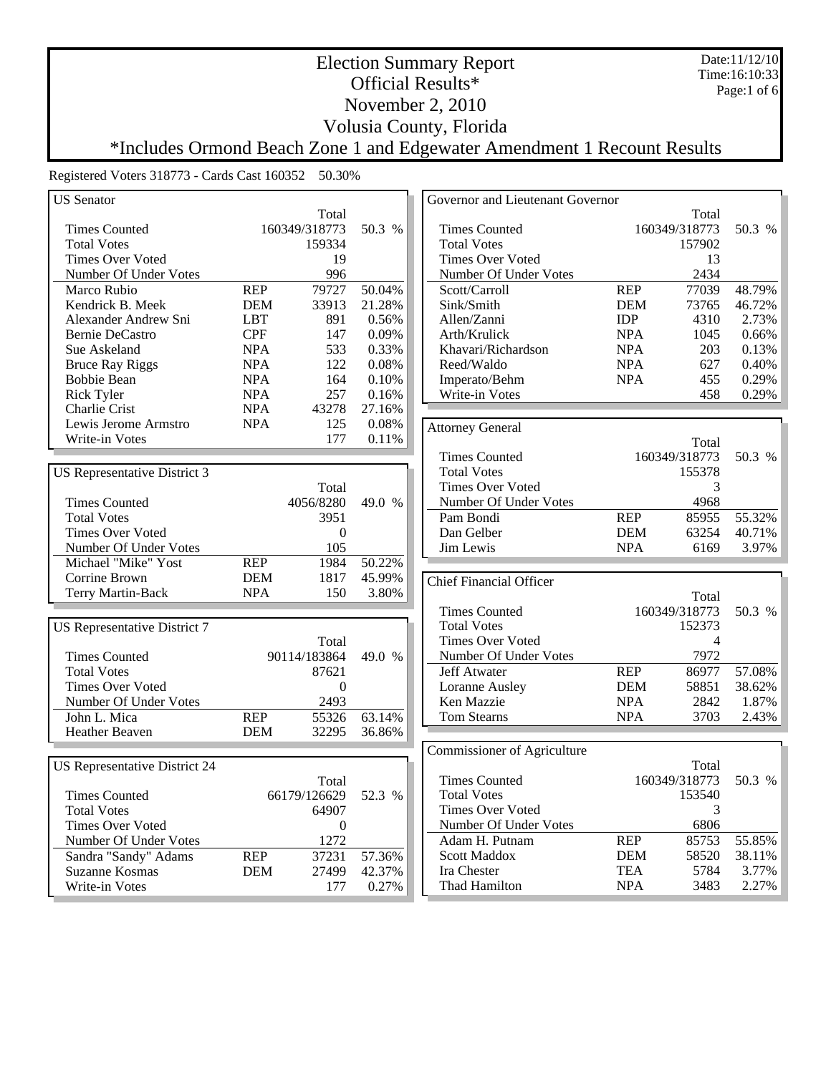Date:11/12/10 Time:16:10:33 Page:1 of 6

#### Official Results\* November 2, 2010

Volusia County, Florida

Election Summary Report

\*Includes Ormond Beach Zone 1 and Edgewater Amendment 1 Recount Results

| <b>US</b> Senator                    |            |                  | Governor and Lieutenant Governor |                                |            |                |        |
|--------------------------------------|------------|------------------|----------------------------------|--------------------------------|------------|----------------|--------|
|                                      |            | Total            |                                  |                                |            | Total          |        |
| <b>Times Counted</b>                 |            | 160349/318773    | 50.3 %                           | <b>Times Counted</b>           |            | 160349/318773  | 50.3 % |
| <b>Total Votes</b>                   |            | 159334           |                                  | <b>Total Votes</b>             |            | 157902         |        |
| <b>Times Over Voted</b>              |            | 19               |                                  | <b>Times Over Voted</b>        |            | 13             |        |
| Number Of Under Votes                |            | 996              |                                  | Number Of Under Votes          |            | 2434           |        |
| Marco Rubio                          | <b>REP</b> | 79727            | 50.04%                           | Scott/Carroll                  | <b>REP</b> | 77039          | 48.79% |
| Kendrick B. Meek                     | <b>DEM</b> | 33913            | 21.28%                           | Sink/Smith                     | <b>DEM</b> | 73765          | 46.72% |
| Alexander Andrew Sni                 | <b>LBT</b> | 891              | 0.56%                            | Allen/Zanni                    | <b>IDP</b> | 4310           | 2.73%  |
| Bernie DeCastro                      | <b>CPF</b> | 147              | 0.09%                            | Arth/Krulick                   | <b>NPA</b> | 1045           | 0.66%  |
| Sue Askeland                         | <b>NPA</b> | 533              | 0.33%                            | Khavari/Richardson             | <b>NPA</b> | 203            | 0.13%  |
| <b>Bruce Ray Riggs</b>               | <b>NPA</b> | 122              | 0.08%                            | Reed/Waldo                     | <b>NPA</b> | 627            | 0.40%  |
| <b>Bobbie Bean</b>                   | <b>NPA</b> | 164              | 0.10%                            | Imperato/Behm                  | <b>NPA</b> | 455            | 0.29%  |
| <b>Rick Tyler</b>                    | <b>NPA</b> | 257              | 0.16%                            | Write-in Votes                 |            | 458            | 0.29%  |
| Charlie Crist                        | <b>NPA</b> | 43278            | 27.16%                           |                                |            |                |        |
| Lewis Jerome Armstro                 | <b>NPA</b> | 125              | 0.08%                            | <b>Attorney General</b>        |            |                |        |
| Write-in Votes                       |            | 177              | 0.11%                            |                                |            | Total          |        |
|                                      |            |                  |                                  | <b>Times Counted</b>           |            | 160349/318773  | 50.3 % |
| <b>US</b> Representative District 3  |            |                  |                                  | <b>Total Votes</b>             |            | 155378         |        |
|                                      |            | Total            |                                  | <b>Times Over Voted</b>        |            | 3              |        |
| <b>Times Counted</b>                 |            | 4056/8280        | 49.0 %                           | Number Of Under Votes          |            | 4968           |        |
| <b>Total Votes</b>                   |            | 3951             |                                  | Pam Bondi                      | <b>REP</b> | 85955          | 55.32% |
| <b>Times Over Voted</b>              |            | $\boldsymbol{0}$ |                                  | Dan Gelber                     | <b>DEM</b> | 63254          | 40.71% |
| Number Of Under Votes                |            | 105              |                                  | Jim Lewis                      | <b>NPA</b> | 6169           | 3.97%  |
| Michael "Mike" Yost                  | <b>REP</b> | 1984             | 50.22%                           |                                |            |                |        |
| Corrine Brown                        | <b>DEM</b> | 1817             | 45.99%                           |                                |            |                |        |
| Terry Martin-Back                    | <b>NPA</b> | 150              | 3.80%                            | <b>Chief Financial Officer</b> |            |                |        |
|                                      |            |                  |                                  |                                |            | Total          |        |
|                                      |            |                  |                                  | <b>Times Counted</b>           |            | 160349/318773  | 50.3 % |
| <b>US</b> Representative District 7  |            |                  |                                  | <b>Total Votes</b>             |            | 152373         |        |
|                                      |            | Total            |                                  | <b>Times Over Voted</b>        |            | $\overline{4}$ |        |
| <b>Times Counted</b>                 |            | 90114/183864     | 49.0 %                           | Number Of Under Votes          |            | 7972           |        |
| <b>Total Votes</b>                   |            | 87621            |                                  | Jeff Atwater                   | <b>REP</b> | 86977          | 57.08% |
| <b>Times Over Voted</b>              |            | $\boldsymbol{0}$ |                                  | Loranne Ausley                 | <b>DEM</b> | 58851          | 38.62% |
| Number Of Under Votes                |            | 2493             |                                  | Ken Mazzie                     | <b>NPA</b> | 2842           | 1.87%  |
| John L. Mica                         | <b>REP</b> | 55326            | 63.14%                           | <b>Tom Stearns</b>             | <b>NPA</b> | 3703           | 2.43%  |
| <b>Heather Beaven</b>                | <b>DEM</b> | 32295            | 36.86%                           |                                |            |                |        |
|                                      |            |                  |                                  | Commissioner of Agriculture    |            |                |        |
| <b>US Representative District 24</b> |            |                  |                                  |                                |            | Total          |        |
|                                      |            | Total            |                                  | <b>Times Counted</b>           |            | 160349/318773  | 50.3 % |
| <b>Times Counted</b>                 |            | 66179/126629     | 52.3 %                           | <b>Total Votes</b>             |            | 153540         |        |
| <b>Total Votes</b>                   |            | 64907            |                                  | <b>Times Over Voted</b>        |            | 3              |        |
| <b>Times Over Voted</b>              |            | $\boldsymbol{0}$ |                                  | Number Of Under Votes          |            | 6806           |        |
| Number Of Under Votes                |            | 1272             |                                  | Adam H. Putnam                 | <b>REP</b> | 85753          | 55.85% |
| Sandra "Sandy" Adams                 | <b>REP</b> | 37231            | 57.36%                           | <b>Scott Maddox</b>            | <b>DEM</b> | 58520          | 38.11% |
| Suzanne Kosmas                       | <b>DEM</b> | 27499            | 42.37%                           | Ira Chester                    | <b>TEA</b> | 5784           | 3.77%  |
| Write-in Votes                       |            | 177              | 0.27%                            | Thad Hamilton                  | <b>NPA</b> | 3483           | 2.27%  |
|                                      |            |                  |                                  |                                |            |                |        |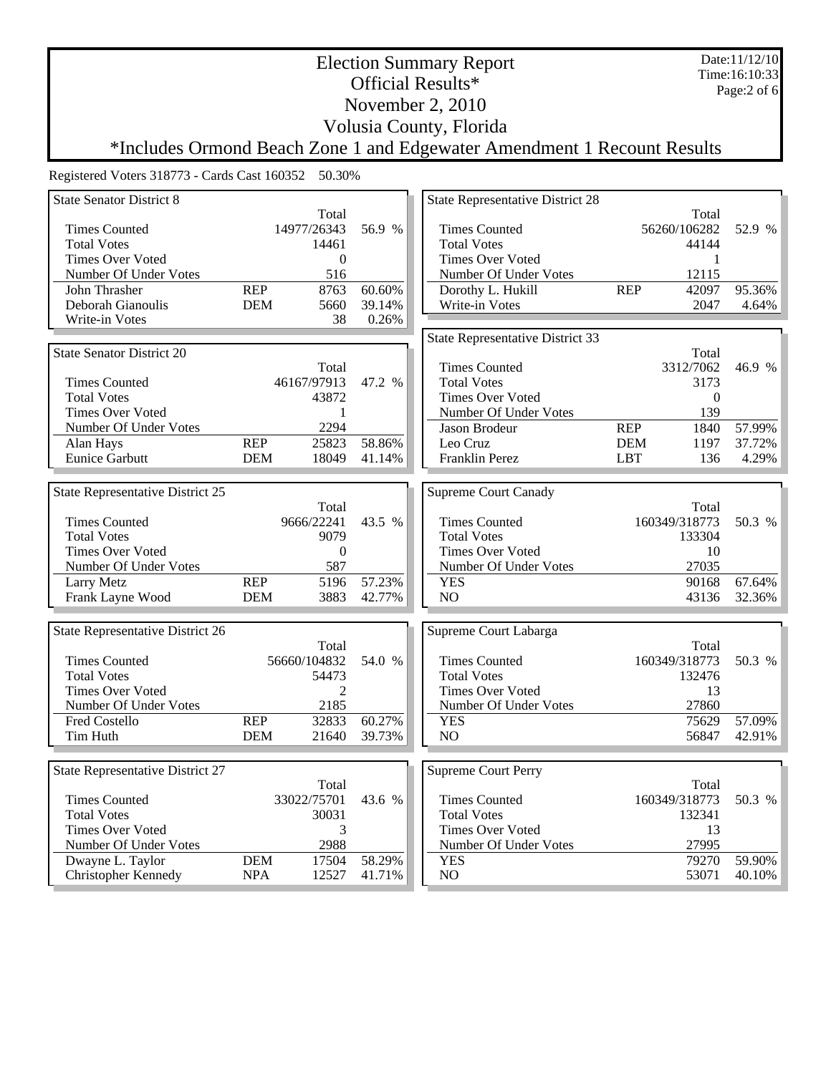Date:11/12/10 Time:16:10:33 Page:2 of 6

November 2, 2010

Volusia County, Florida

Election Summary Report Official Results\*

\*Includes Ormond Beach Zone 1 and Edgewater Amendment 1 Recount Results

| <b>State Senator District 8</b>  |                  |              |        | <b>State Representative District 28</b> |            |                         |        |
|----------------------------------|------------------|--------------|--------|-----------------------------------------|------------|-------------------------|--------|
|                                  |                  | Total        |        |                                         |            | Total                   |        |
| <b>Times Counted</b>             |                  | 14977/26343  | 56.9 % | <b>Times Counted</b>                    |            | 56260/106282            | 52.9 % |
| <b>Total Votes</b>               |                  | 14461        |        | <b>Total Votes</b>                      |            | 44144                   |        |
| <b>Times Over Voted</b>          |                  | $\mathbf{0}$ |        | <b>Times Over Voted</b>                 |            | 1                       |        |
| Number Of Under Votes            |                  | 516          |        | Number Of Under Votes                   |            | 12115                   |        |
| John Thrasher                    | $\overline{REP}$ | 8763         | 60.60% | Dorothy L. Hukill                       | <b>REP</b> | 42097                   | 95.36% |
| Deborah Gianoulis                | <b>DEM</b>       | 5660         | 39.14% | Write-in Votes                          |            | 2047                    | 4.64%  |
| Write-in Votes                   |                  | 38           | 0.26%  |                                         |            |                         |        |
|                                  |                  |              |        | <b>State Representative District 33</b> |            |                         |        |
| <b>State Senator District 20</b> |                  |              |        |                                         |            | Total                   |        |
|                                  |                  | Total        |        | <b>Times Counted</b>                    |            | 3312/7062               | 46.9 % |
| <b>Times Counted</b>             |                  | 46167/97913  | 47.2 % | <b>Total Votes</b>                      |            | 3173                    |        |
| <b>Total Votes</b>               |                  | 43872        |        | Times Over Voted                        |            |                         |        |
| <b>Times Over Voted</b>          |                  |              |        |                                         |            | $\boldsymbol{0}$<br>139 |        |
|                                  |                  | -1<br>2294   |        | Number Of Under Votes                   |            |                         |        |
| Number Of Under Votes            |                  |              |        | Jason Brodeur                           | REP        | 1840                    | 57.99% |
| Alan Hays                        | <b>REP</b>       | 25823        | 58.86% | Leo Cruz                                | <b>DEM</b> | 1197                    | 37.72% |
| <b>Eunice Garbutt</b>            | <b>DEM</b>       | 18049        | 41.14% | Franklin Perez                          | <b>LBT</b> | 136                     | 4.29%  |
|                                  |                  |              |        |                                         |            |                         |        |
| State Representative District 25 |                  |              |        | <b>Supreme Court Canady</b>             |            |                         |        |
|                                  |                  | Total        |        |                                         |            | Total                   |        |
| <b>Times Counted</b>             |                  | 9666/22241   | 43.5 % | <b>Times Counted</b>                    |            | 160349/318773           | 50.3 % |
| <b>Total Votes</b>               |                  | 9079         |        | <b>Total Votes</b>                      |            | 133304                  |        |
| <b>Times Over Voted</b>          |                  | $\mathbf{0}$ |        | <b>Times Over Voted</b>                 |            | 10                      |        |
| Number Of Under Votes            |                  | 587          |        | Number Of Under Votes                   |            | 27035                   |        |
| Larry Metz                       | <b>REP</b>       | 5196         | 57.23% | <b>YES</b>                              |            | 90168                   | 67.64% |
| Frank Layne Wood                 | <b>DEM</b>       | 3883         | 42.77% | NO                                      |            | 43136                   | 32.36% |
|                                  |                  |              |        |                                         |            |                         |        |
| State Representative District 26 |                  |              |        | Supreme Court Labarga                   |            |                         |        |
|                                  |                  | Total        |        |                                         |            | Total                   |        |
| <b>Times Counted</b>             |                  | 56660/104832 | 54.0 % | <b>Times Counted</b>                    |            | 160349/318773           | 50.3 % |
| <b>Total Votes</b>               |                  | 54473        |        | <b>Total Votes</b>                      |            | 132476                  |        |
| <b>Times Over Voted</b>          |                  | 2            |        | <b>Times Over Voted</b>                 |            | 13                      |        |
| Number Of Under Votes            |                  | 2185         |        | Number Of Under Votes                   |            | 27860                   |        |
| <b>Fred Costello</b>             | <b>REP</b>       | 32833        | 60.27% | <b>YES</b>                              |            | 75629                   | 57.09% |
| Tim Huth                         | <b>DEM</b>       | 21640        | 39.73% | N <sub>O</sub>                          |            | 56847                   | 42.91% |
|                                  |                  |              |        |                                         |            |                         |        |
| State Representative District 27 |                  |              |        | <b>Supreme Court Perry</b>              |            |                         |        |
|                                  |                  | Total        |        |                                         |            | Total                   |        |
| <b>Times Counted</b>             |                  | 33022/75701  | 43.6 % | <b>Times Counted</b>                    |            | 160349/318773           | 50.3 % |
| <b>Total Votes</b>               |                  | 30031        |        | <b>Total Votes</b>                      |            | 132341                  |        |
| <b>Times Over Voted</b>          |                  | 3            |        | <b>Times Over Voted</b>                 |            | 13                      |        |
| Number Of Under Votes            |                  | 2988         |        | Number Of Under Votes                   |            | 27995                   |        |
| Dwayne L. Taylor                 | <b>DEM</b>       | 17504        | 58.29% | <b>YES</b>                              |            | 79270                   | 59.90% |
| Christopher Kennedy              | <b>NPA</b>       | 12527        | 41.71% | NO                                      |            | 53071                   | 40.10% |
|                                  |                  |              |        |                                         |            |                         |        |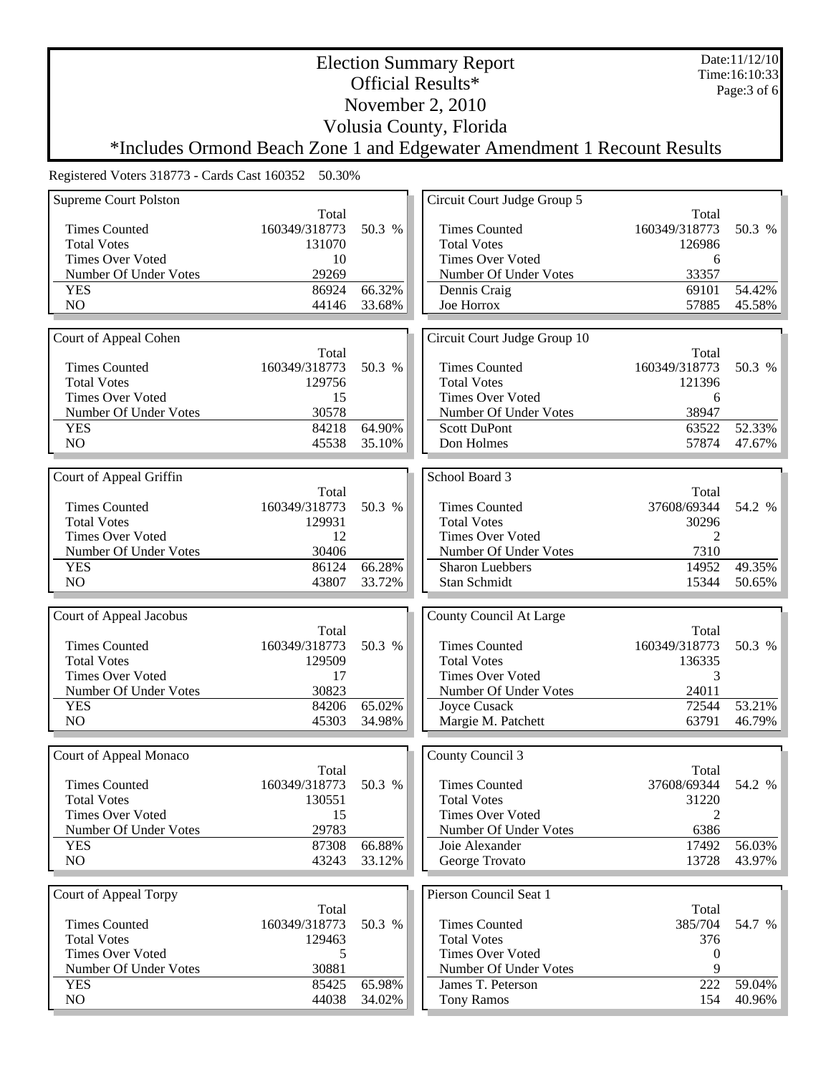Date:11/12/10 Time:16:10:33 Page:3 of 6

Official Results\* November 2, 2010

Volusia County, Florida

Election Summary Report

\*Includes Ormond Beach Zone 1 and Edgewater Amendment 1 Recount Results

| <b>Supreme Court Polston</b>                  |                |                  | Circuit Court Judge Group 5                     |                             |                  |
|-----------------------------------------------|----------------|------------------|-------------------------------------------------|-----------------------------|------------------|
|                                               | Total          |                  |                                                 | Total                       |                  |
| <b>Times Counted</b>                          | 160349/318773  | 50.3 %           | <b>Times Counted</b>                            | 160349/318773               | 50.3 %           |
| <b>Total Votes</b>                            | 131070         |                  | <b>Total Votes</b>                              | 126986                      |                  |
| <b>Times Over Voted</b>                       | 10             |                  | <b>Times Over Voted</b>                         | 6                           |                  |
| Number Of Under Votes                         | 29269          |                  | Number Of Under Votes                           | 33357                       |                  |
| <b>YES</b>                                    | 86924          | 66.32%           | Dennis Craig                                    | 69101                       | 54.42%           |
| NO                                            | 44146          | 33.68%           | Joe Horrox                                      | 57885                       | 45.58%           |
|                                               |                |                  |                                                 |                             |                  |
| Court of Appeal Cohen                         |                |                  | Circuit Court Judge Group 10                    |                             |                  |
|                                               | Total          |                  |                                                 | Total                       |                  |
| <b>Times Counted</b>                          | 160349/318773  | 50.3 %           | <b>Times Counted</b>                            | 160349/318773               | 50.3 %           |
| <b>Total Votes</b>                            | 129756         |                  | <b>Total Votes</b>                              | 121396                      |                  |
| <b>Times Over Voted</b>                       | 15             |                  | <b>Times Over Voted</b>                         | 6                           |                  |
| Number Of Under Votes                         | 30578          |                  | Number Of Under Votes                           | 38947                       |                  |
| <b>YES</b>                                    | 84218          | 64.90%           | <b>Scott DuPont</b>                             | 63522                       | 52.33%           |
| NO                                            | 45538          | 35.10%           | Don Holmes                                      | 57874                       | 47.67%           |
|                                               |                |                  |                                                 |                             |                  |
| Court of Appeal Griffin                       |                |                  | School Board 3                                  |                             |                  |
|                                               | Total          |                  |                                                 | Total                       |                  |
| <b>Times Counted</b>                          | 160349/318773  | 50.3 %           | <b>Times Counted</b>                            | 37608/69344                 | 54.2 %           |
| <b>Total Votes</b><br><b>Times Over Voted</b> | 129931         |                  | <b>Total Votes</b><br><b>Times Over Voted</b>   | 30296                       |                  |
|                                               | 12<br>30406    |                  |                                                 | 2<br>7310                   |                  |
| Number Of Under Votes<br><b>YES</b>           | 86124          | 66.28%           | Number Of Under Votes<br><b>Sharon Luebbers</b> | 14952                       | 49.35%           |
| N <sub>O</sub>                                | 43807          | 33.72%           | Stan Schmidt                                    | 15344                       | 50.65%           |
|                                               |                |                  |                                                 |                             |                  |
|                                               |                |                  |                                                 |                             |                  |
|                                               |                |                  |                                                 |                             |                  |
| Court of Appeal Jacobus                       |                |                  | County Council At Large                         |                             |                  |
|                                               | Total          |                  |                                                 | Total                       |                  |
| <b>Times Counted</b>                          | 160349/318773  | 50.3 %           | <b>Times Counted</b>                            | 160349/318773               | 50.3 %           |
| <b>Total Votes</b>                            | 129509         |                  | <b>Total Votes</b>                              | 136335<br>3                 |                  |
| <b>Times Over Voted</b>                       | 17             |                  | <b>Times Over Voted</b>                         |                             |                  |
| Number Of Under Votes                         | 30823          |                  | Number Of Under Votes                           | 24011                       |                  |
| <b>YES</b><br>N <sub>O</sub>                  | 84206<br>45303 | 65.02%<br>34.98% | Joyce Cusack                                    | 72544<br>63791              | 53.21%<br>46.79% |
|                                               |                |                  | Margie M. Patchett                              |                             |                  |
|                                               |                |                  |                                                 |                             |                  |
| Court of Appeal Monaco                        | Total          |                  | County Council 3                                | Total                       |                  |
| <b>Times Counted</b>                          | 160349/318773  | 50.3 %           | <b>Times Counted</b>                            | 37608/69344                 | 54.2 %           |
| <b>Total Votes</b>                            | 130551         |                  | <b>Total Votes</b>                              | 31220                       |                  |
| <b>Times Over Voted</b>                       | 15             |                  | <b>Times Over Voted</b>                         | $\mathcal{D}_{\mathcal{L}}$ |                  |
| Number Of Under Votes                         | 29783          |                  | Number Of Under Votes                           | 6386                        |                  |
| <b>YES</b>                                    | 87308          | 66.88%           | Joie Alexander                                  | 17492                       | 56.03%           |
| N <sub>O</sub>                                | 43243          | 33.12%           | George Trovato                                  | 13728                       | 43.97%           |
|                                               |                |                  |                                                 |                             |                  |
| Court of Appeal Torpy                         |                |                  | Pierson Council Seat 1                          |                             |                  |
|                                               | Total          |                  |                                                 | Total                       |                  |
| <b>Times Counted</b>                          | 160349/318773  | 50.3 %           | <b>Times Counted</b>                            | 385/704                     | 54.7 %           |
| <b>Total Votes</b>                            | 129463         |                  | <b>Total Votes</b>                              | 376                         |                  |
| <b>Times Over Voted</b>                       | 5              |                  | <b>Times Over Voted</b>                         | $\theta$                    |                  |
| Number Of Under Votes                         | 30881          |                  | Number Of Under Votes                           | 9                           |                  |
| <b>YES</b><br>NO                              | 85425<br>44038 | 65.98%<br>34.02% | James T. Peterson<br><b>Tony Ramos</b>          | 222<br>154                  | 59.04%<br>40.96% |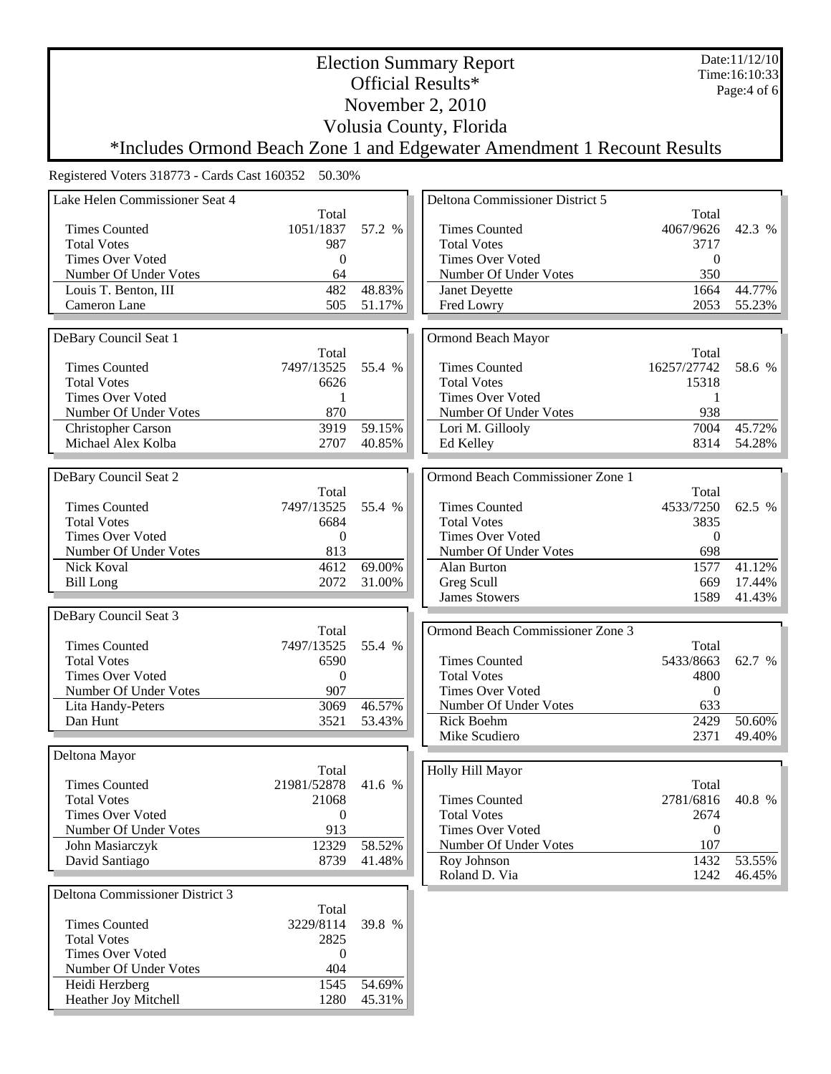Date:11/12/10 Time:16:10:33 Page:4 of 6

November 2, 2010

Volusia County, Florida

Election Summary Report Official Results\*

\*Includes Ormond Beach Zone 1 and Edgewater Amendment 1 Recount Results

Registered Voters 318773 - Cards Cast 160352 50.30%

L

| Lake Helen Commissioner Seat 4          |                  |        | Deltona Commissioner District 5  |                  |        |
|-----------------------------------------|------------------|--------|----------------------------------|------------------|--------|
|                                         | Total            |        |                                  | Total            |        |
| <b>Times Counted</b>                    | 1051/1837        | 57.2 % | <b>Times Counted</b>             | 4067/9626        | 42.3 % |
| <b>Total Votes</b>                      | 987              |        | <b>Total Votes</b>               | 3717             |        |
| <b>Times Over Voted</b>                 | $\mathbf{0}$     |        | <b>Times Over Voted</b>          | $\boldsymbol{0}$ |        |
| Number Of Under Votes                   | 64               |        | Number Of Under Votes            | 350              |        |
| Louis T. Benton, III                    | 482              | 48.83% | Janet Deyette                    | 1664             | 44.77% |
| Cameron Lane                            | 505              | 51.17% | Fred Lowry                       | 2053             | 55.23% |
|                                         |                  |        |                                  |                  |        |
| DeBary Council Seat 1                   |                  |        | Ormond Beach Mayor               |                  |        |
|                                         | Total            |        |                                  | Total            |        |
| <b>Times Counted</b>                    | 7497/13525       | 55.4 % | <b>Times Counted</b>             | 16257/27742      | 58.6 % |
| <b>Total Votes</b>                      | 6626             |        | <b>Total Votes</b>               | 15318            |        |
| <b>Times Over Voted</b>                 | 1                |        | <b>Times Over Voted</b>          | 1                |        |
| Number Of Under Votes                   | 870              |        | Number Of Under Votes            | 938              |        |
| Christopher Carson                      | 3919             | 59.15% | Lori M. Gillooly                 | 7004             | 45.72% |
| Michael Alex Kolba                      | 2707             | 40.85% | Ed Kelley                        | 8314             | 54.28% |
|                                         |                  |        |                                  |                  |        |
| DeBary Council Seat 2                   |                  |        | Ormond Beach Commissioner Zone 1 |                  |        |
|                                         | Total            |        |                                  | Total            |        |
| <b>Times Counted</b>                    | 7497/13525       | 55.4 % | <b>Times Counted</b>             | 4533/7250        | 62.5 % |
| <b>Total Votes</b>                      | 6684             |        | <b>Total Votes</b>               | 3835             |        |
| <b>Times Over Voted</b>                 | $\mathbf{0}$     |        | <b>Times Over Voted</b>          | $\boldsymbol{0}$ |        |
| Number Of Under Votes                   | 813              |        | Number Of Under Votes            | 698              |        |
| Nick Koval                              | 4612             | 69.00% | Alan Burton                      | 1577             | 41.12% |
| <b>Bill Long</b>                        | 2072             | 31.00% | Greg Scull                       | 669              | 17.44% |
|                                         |                  |        | <b>James Stowers</b>             | 1589             | 41.43% |
| DeBary Council Seat 3                   |                  |        |                                  |                  |        |
|                                         | Total            |        | Ormond Beach Commissioner Zone 3 |                  |        |
| <b>Times Counted</b>                    | 7497/13525       | 55.4 % |                                  | Total            |        |
| <b>Total Votes</b>                      | 6590             |        | <b>Times Counted</b>             | 5433/8663        | 62.7 % |
| <b>Times Over Voted</b>                 | $\boldsymbol{0}$ |        | <b>Total Votes</b>               | 4800             |        |
| Number Of Under Votes                   | 907              |        | <b>Times Over Voted</b>          | $\boldsymbol{0}$ |        |
| Lita Handy-Peters                       | 3069             | 46.57% | Number Of Under Votes            | 633              |        |
| Dan Hunt                                | 3521             | 53.43% | Rick Boehm                       | 2429             | 50.60% |
|                                         |                  |        | Mike Scudiero                    | 2371             | 49.40% |
| Deltona Mayor                           |                  |        |                                  |                  |        |
|                                         | Total            |        | Holly Hill Mayor                 |                  |        |
| <b>Times Counted</b>                    | 21981/52878      | 41.6 % |                                  | Total            |        |
| <b>Total Votes</b>                      | 21068            |        | Times Counted                    | 2781/6816        | 40.8 % |
| <b>Times Over Voted</b>                 | $\overline{0}$   |        | <b>Total Votes</b>               | 2674             |        |
| Number Of Under Votes                   | 913              |        | <b>Times Over Voted</b>          | $\overline{0}$   |        |
| John Masiarczyk                         | 12329            | 58.52% | Number Of Under Votes            | 107              |        |
| David Santiago                          |                  |        |                                  |                  | 53.55% |
|                                         |                  |        |                                  |                  |        |
|                                         | 8739             | 41.48% | Roy Johnson                      | 1432             |        |
|                                         |                  |        | Roland D. Via                    | 1242             | 46.45% |
| Deltona Commissioner District 3         |                  |        |                                  |                  |        |
|                                         | Total            |        |                                  |                  |        |
| <b>Times Counted</b>                    | 3229/8114        | 39.8 % |                                  |                  |        |
| <b>Total Votes</b>                      | 2825<br>$\left($ |        |                                  |                  |        |
| <b>Times Over Voted</b>                 |                  |        |                                  |                  |        |
| Number Of Under Votes<br>Heidi Herzberg | 404<br>1545      | 54.69% |                                  |                  |        |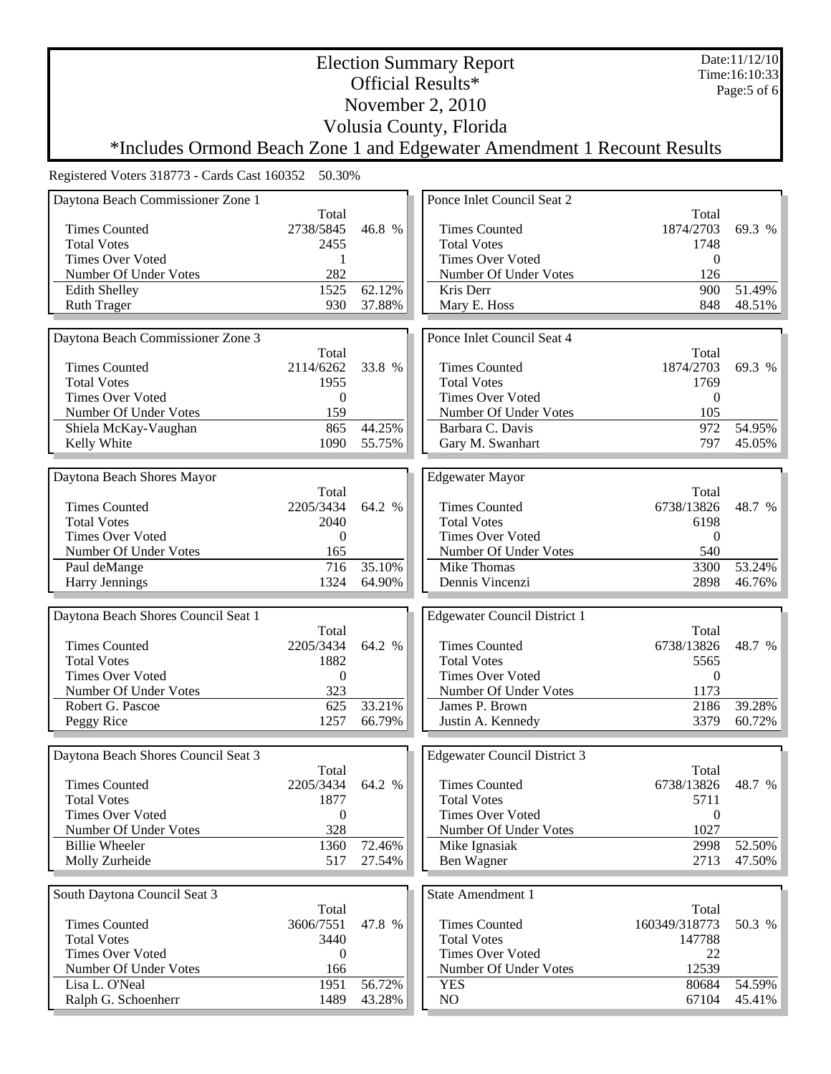Date:11/12/10 Time:16:10:33 Page:5 of 6

### Official Results\* November 2, 2010

Volusia County, Florida

Election Summary Report

# \*Includes Ormond Beach Zone 1 and Edgewater Amendment 1 Recount Results

| Total<br>Total<br><b>Times Counted</b><br>2738/5845<br>46.8 %<br><b>Times Counted</b><br>1874/2703<br>69.3 %<br><b>Total Votes</b><br>2455<br><b>Total Votes</b><br>1748<br><b>Times Over Voted</b><br><b>Times Over Voted</b><br>$\theta$<br>1<br>282<br>Number Of Under Votes<br>Number Of Under Votes<br>126<br>62.12%<br>51.49%<br>1525<br>Kris Derr<br>900<br><b>Edith Shelley</b><br>930<br>37.88%<br>48.51%<br><b>Ruth Trager</b><br>Mary E. Hoss<br>848<br>Ponce Inlet Council Seat 4<br>Daytona Beach Commissioner Zone 3<br>Total<br>Total<br><b>Times Counted</b><br>1874/2703<br>2114/6262<br>33.8 %<br><b>Times Counted</b><br>69.3 %<br><b>Total Votes</b><br>1955<br><b>Total Votes</b><br>1769<br><b>Times Over Voted</b><br>Times Over Voted<br>$\theta$<br>$\mathbf{0}$<br>Number Of Under Votes<br>159<br>Number Of Under Votes<br>105<br>44.25%<br>54.95%<br>865<br>Barbara C. Davis<br>972<br>Shiela McKay-Vaughan<br>1090<br>797<br>Kelly White<br>55.75%<br>Gary M. Swanhart<br>45.05%<br>Daytona Beach Shores Mayor<br><b>Edgewater Mayor</b><br>Total<br>Total<br><b>Times Counted</b><br>2205/3434<br><b>Times Counted</b><br>64.2 %<br>6738/13826<br>48.7 %<br><b>Total Votes</b><br>2040<br><b>Total Votes</b><br>6198<br><b>Times Over Voted</b><br><b>Times Over Voted</b><br>$\Omega$<br>$\theta$<br>Number Of Under Votes<br>Number Of Under Votes<br>540<br>165<br>716<br>35.10%<br>Mike Thomas<br>3300<br>53.24%<br>Paul deMange<br>Harry Jennings<br>1324<br>64.90%<br>Dennis Vincenzi<br>46.76%<br>2898<br>Daytona Beach Shores Council Seat 1<br><b>Edgewater Council District 1</b><br>Total<br>Total<br><b>Times Counted</b><br>64.2 %<br><b>Times Counted</b><br>6738/13826<br>2205/3434<br>48.7 %<br><b>Total Votes</b><br>1882<br><b>Total Votes</b><br>5565<br><b>Times Over Voted</b><br>$\mathbf{0}$<br><b>Times Over Voted</b><br>$\theta$<br>Number Of Under Votes<br>Number Of Under Votes<br>323<br>1173<br>625<br>33.21%<br>39.28%<br>Robert G. Pascoe<br>James P. Brown<br>2186<br>Peggy Rice<br>1257<br>66.79%<br>Justin A. Kennedy<br>3379<br>60.72%<br>Daytona Beach Shores Council Seat 3<br><b>Edgewater Council District 3</b><br>Total<br>Total<br><b>Times Counted</b><br>6738/13826 48.7 %<br><b>Times Counted</b><br>2205/3434<br>64.2 %<br>1877<br><b>Total Votes</b><br><b>Total Votes</b><br>5711<br><b>Times Over Voted</b><br><b>Times Over Voted</b><br>$\overline{0}$<br>$\theta$<br>328<br>1027<br>Number Of Under Votes<br>Number Of Under Votes<br>72.46%<br>52.50%<br><b>Billie Wheeler</b><br>1360<br>Mike Ignasiak<br>2998<br>Molly Zurheide<br>517<br>27.54%<br>Ben Wagner<br>2713<br>47.50%<br>South Daytona Council Seat 3<br><b>State Amendment 1</b><br>Total<br>Total<br>47.8 %<br><b>Times Counted</b><br>3606/7551<br>160349/318773<br>50.3 %<br><b>Times Counted</b><br><b>Total Votes</b><br><b>Total Votes</b><br>147788<br>3440<br><b>Times Over Voted</b><br><b>Times Over Voted</b><br>22<br>$\overline{0}$<br>Number Of Under Votes<br>12539<br>Number Of Under Votes<br>166<br>Lisa L. O'Neal<br>1951<br>56.72%<br>54.59%<br>80684<br><b>YES</b><br>Ralph G. Schoenherr<br>1489<br>43.28%<br>NO<br>67104<br>45.41% | Daytona Beach Commissioner Zone 1 |  | Ponce Inlet Council Seat 2 |  |
|--------------------------------------------------------------------------------------------------------------------------------------------------------------------------------------------------------------------------------------------------------------------------------------------------------------------------------------------------------------------------------------------------------------------------------------------------------------------------------------------------------------------------------------------------------------------------------------------------------------------------------------------------------------------------------------------------------------------------------------------------------------------------------------------------------------------------------------------------------------------------------------------------------------------------------------------------------------------------------------------------------------------------------------------------------------------------------------------------------------------------------------------------------------------------------------------------------------------------------------------------------------------------------------------------------------------------------------------------------------------------------------------------------------------------------------------------------------------------------------------------------------------------------------------------------------------------------------------------------------------------------------------------------------------------------------------------------------------------------------------------------------------------------------------------------------------------------------------------------------------------------------------------------------------------------------------------------------------------------------------------------------------------------------------------------------------------------------------------------------------------------------------------------------------------------------------------------------------------------------------------------------------------------------------------------------------------------------------------------------------------------------------------------------------------------------------------------------------------------------------------------------------------------------------------------------------------------------------------------------------------------------------------------------------------------------------------------------------------------------------------------------------------------------------------------------------------------------------------------------------------------------------------------------------------------------------------------------------------------------------------------------------------------------------------------------------------------------------------------------------------------------------------------------------------------------------------------------|-----------------------------------|--|----------------------------|--|
|                                                                                                                                                                                                                                                                                                                                                                                                                                                                                                                                                                                                                                                                                                                                                                                                                                                                                                                                                                                                                                                                                                                                                                                                                                                                                                                                                                                                                                                                                                                                                                                                                                                                                                                                                                                                                                                                                                                                                                                                                                                                                                                                                                                                                                                                                                                                                                                                                                                                                                                                                                                                                                                                                                                                                                                                                                                                                                                                                                                                                                                                                                                                                                                                              |                                   |  |                            |  |
|                                                                                                                                                                                                                                                                                                                                                                                                                                                                                                                                                                                                                                                                                                                                                                                                                                                                                                                                                                                                                                                                                                                                                                                                                                                                                                                                                                                                                                                                                                                                                                                                                                                                                                                                                                                                                                                                                                                                                                                                                                                                                                                                                                                                                                                                                                                                                                                                                                                                                                                                                                                                                                                                                                                                                                                                                                                                                                                                                                                                                                                                                                                                                                                                              |                                   |  |                            |  |
|                                                                                                                                                                                                                                                                                                                                                                                                                                                                                                                                                                                                                                                                                                                                                                                                                                                                                                                                                                                                                                                                                                                                                                                                                                                                                                                                                                                                                                                                                                                                                                                                                                                                                                                                                                                                                                                                                                                                                                                                                                                                                                                                                                                                                                                                                                                                                                                                                                                                                                                                                                                                                                                                                                                                                                                                                                                                                                                                                                                                                                                                                                                                                                                                              |                                   |  |                            |  |
|                                                                                                                                                                                                                                                                                                                                                                                                                                                                                                                                                                                                                                                                                                                                                                                                                                                                                                                                                                                                                                                                                                                                                                                                                                                                                                                                                                                                                                                                                                                                                                                                                                                                                                                                                                                                                                                                                                                                                                                                                                                                                                                                                                                                                                                                                                                                                                                                                                                                                                                                                                                                                                                                                                                                                                                                                                                                                                                                                                                                                                                                                                                                                                                                              |                                   |  |                            |  |
|                                                                                                                                                                                                                                                                                                                                                                                                                                                                                                                                                                                                                                                                                                                                                                                                                                                                                                                                                                                                                                                                                                                                                                                                                                                                                                                                                                                                                                                                                                                                                                                                                                                                                                                                                                                                                                                                                                                                                                                                                                                                                                                                                                                                                                                                                                                                                                                                                                                                                                                                                                                                                                                                                                                                                                                                                                                                                                                                                                                                                                                                                                                                                                                                              |                                   |  |                            |  |
|                                                                                                                                                                                                                                                                                                                                                                                                                                                                                                                                                                                                                                                                                                                                                                                                                                                                                                                                                                                                                                                                                                                                                                                                                                                                                                                                                                                                                                                                                                                                                                                                                                                                                                                                                                                                                                                                                                                                                                                                                                                                                                                                                                                                                                                                                                                                                                                                                                                                                                                                                                                                                                                                                                                                                                                                                                                                                                                                                                                                                                                                                                                                                                                                              |                                   |  |                            |  |
|                                                                                                                                                                                                                                                                                                                                                                                                                                                                                                                                                                                                                                                                                                                                                                                                                                                                                                                                                                                                                                                                                                                                                                                                                                                                                                                                                                                                                                                                                                                                                                                                                                                                                                                                                                                                                                                                                                                                                                                                                                                                                                                                                                                                                                                                                                                                                                                                                                                                                                                                                                                                                                                                                                                                                                                                                                                                                                                                                                                                                                                                                                                                                                                                              |                                   |  |                            |  |
|                                                                                                                                                                                                                                                                                                                                                                                                                                                                                                                                                                                                                                                                                                                                                                                                                                                                                                                                                                                                                                                                                                                                                                                                                                                                                                                                                                                                                                                                                                                                                                                                                                                                                                                                                                                                                                                                                                                                                                                                                                                                                                                                                                                                                                                                                                                                                                                                                                                                                                                                                                                                                                                                                                                                                                                                                                                                                                                                                                                                                                                                                                                                                                                                              |                                   |  |                            |  |
|                                                                                                                                                                                                                                                                                                                                                                                                                                                                                                                                                                                                                                                                                                                                                                                                                                                                                                                                                                                                                                                                                                                                                                                                                                                                                                                                                                                                                                                                                                                                                                                                                                                                                                                                                                                                                                                                                                                                                                                                                                                                                                                                                                                                                                                                                                                                                                                                                                                                                                                                                                                                                                                                                                                                                                                                                                                                                                                                                                                                                                                                                                                                                                                                              |                                   |  |                            |  |
|                                                                                                                                                                                                                                                                                                                                                                                                                                                                                                                                                                                                                                                                                                                                                                                                                                                                                                                                                                                                                                                                                                                                                                                                                                                                                                                                                                                                                                                                                                                                                                                                                                                                                                                                                                                                                                                                                                                                                                                                                                                                                                                                                                                                                                                                                                                                                                                                                                                                                                                                                                                                                                                                                                                                                                                                                                                                                                                                                                                                                                                                                                                                                                                                              |                                   |  |                            |  |
|                                                                                                                                                                                                                                                                                                                                                                                                                                                                                                                                                                                                                                                                                                                                                                                                                                                                                                                                                                                                                                                                                                                                                                                                                                                                                                                                                                                                                                                                                                                                                                                                                                                                                                                                                                                                                                                                                                                                                                                                                                                                                                                                                                                                                                                                                                                                                                                                                                                                                                                                                                                                                                                                                                                                                                                                                                                                                                                                                                                                                                                                                                                                                                                                              |                                   |  |                            |  |
|                                                                                                                                                                                                                                                                                                                                                                                                                                                                                                                                                                                                                                                                                                                                                                                                                                                                                                                                                                                                                                                                                                                                                                                                                                                                                                                                                                                                                                                                                                                                                                                                                                                                                                                                                                                                                                                                                                                                                                                                                                                                                                                                                                                                                                                                                                                                                                                                                                                                                                                                                                                                                                                                                                                                                                                                                                                                                                                                                                                                                                                                                                                                                                                                              |                                   |  |                            |  |
|                                                                                                                                                                                                                                                                                                                                                                                                                                                                                                                                                                                                                                                                                                                                                                                                                                                                                                                                                                                                                                                                                                                                                                                                                                                                                                                                                                                                                                                                                                                                                                                                                                                                                                                                                                                                                                                                                                                                                                                                                                                                                                                                                                                                                                                                                                                                                                                                                                                                                                                                                                                                                                                                                                                                                                                                                                                                                                                                                                                                                                                                                                                                                                                                              |                                   |  |                            |  |
|                                                                                                                                                                                                                                                                                                                                                                                                                                                                                                                                                                                                                                                                                                                                                                                                                                                                                                                                                                                                                                                                                                                                                                                                                                                                                                                                                                                                                                                                                                                                                                                                                                                                                                                                                                                                                                                                                                                                                                                                                                                                                                                                                                                                                                                                                                                                                                                                                                                                                                                                                                                                                                                                                                                                                                                                                                                                                                                                                                                                                                                                                                                                                                                                              |                                   |  |                            |  |
|                                                                                                                                                                                                                                                                                                                                                                                                                                                                                                                                                                                                                                                                                                                                                                                                                                                                                                                                                                                                                                                                                                                                                                                                                                                                                                                                                                                                                                                                                                                                                                                                                                                                                                                                                                                                                                                                                                                                                                                                                                                                                                                                                                                                                                                                                                                                                                                                                                                                                                                                                                                                                                                                                                                                                                                                                                                                                                                                                                                                                                                                                                                                                                                                              |                                   |  |                            |  |
|                                                                                                                                                                                                                                                                                                                                                                                                                                                                                                                                                                                                                                                                                                                                                                                                                                                                                                                                                                                                                                                                                                                                                                                                                                                                                                                                                                                                                                                                                                                                                                                                                                                                                                                                                                                                                                                                                                                                                                                                                                                                                                                                                                                                                                                                                                                                                                                                                                                                                                                                                                                                                                                                                                                                                                                                                                                                                                                                                                                                                                                                                                                                                                                                              |                                   |  |                            |  |
|                                                                                                                                                                                                                                                                                                                                                                                                                                                                                                                                                                                                                                                                                                                                                                                                                                                                                                                                                                                                                                                                                                                                                                                                                                                                                                                                                                                                                                                                                                                                                                                                                                                                                                                                                                                                                                                                                                                                                                                                                                                                                                                                                                                                                                                                                                                                                                                                                                                                                                                                                                                                                                                                                                                                                                                                                                                                                                                                                                                                                                                                                                                                                                                                              |                                   |  |                            |  |
|                                                                                                                                                                                                                                                                                                                                                                                                                                                                                                                                                                                                                                                                                                                                                                                                                                                                                                                                                                                                                                                                                                                                                                                                                                                                                                                                                                                                                                                                                                                                                                                                                                                                                                                                                                                                                                                                                                                                                                                                                                                                                                                                                                                                                                                                                                                                                                                                                                                                                                                                                                                                                                                                                                                                                                                                                                                                                                                                                                                                                                                                                                                                                                                                              |                                   |  |                            |  |
|                                                                                                                                                                                                                                                                                                                                                                                                                                                                                                                                                                                                                                                                                                                                                                                                                                                                                                                                                                                                                                                                                                                                                                                                                                                                                                                                                                                                                                                                                                                                                                                                                                                                                                                                                                                                                                                                                                                                                                                                                                                                                                                                                                                                                                                                                                                                                                                                                                                                                                                                                                                                                                                                                                                                                                                                                                                                                                                                                                                                                                                                                                                                                                                                              |                                   |  |                            |  |
|                                                                                                                                                                                                                                                                                                                                                                                                                                                                                                                                                                                                                                                                                                                                                                                                                                                                                                                                                                                                                                                                                                                                                                                                                                                                                                                                                                                                                                                                                                                                                                                                                                                                                                                                                                                                                                                                                                                                                                                                                                                                                                                                                                                                                                                                                                                                                                                                                                                                                                                                                                                                                                                                                                                                                                                                                                                                                                                                                                                                                                                                                                                                                                                                              |                                   |  |                            |  |
|                                                                                                                                                                                                                                                                                                                                                                                                                                                                                                                                                                                                                                                                                                                                                                                                                                                                                                                                                                                                                                                                                                                                                                                                                                                                                                                                                                                                                                                                                                                                                                                                                                                                                                                                                                                                                                                                                                                                                                                                                                                                                                                                                                                                                                                                                                                                                                                                                                                                                                                                                                                                                                                                                                                                                                                                                                                                                                                                                                                                                                                                                                                                                                                                              |                                   |  |                            |  |
|                                                                                                                                                                                                                                                                                                                                                                                                                                                                                                                                                                                                                                                                                                                                                                                                                                                                                                                                                                                                                                                                                                                                                                                                                                                                                                                                                                                                                                                                                                                                                                                                                                                                                                                                                                                                                                                                                                                                                                                                                                                                                                                                                                                                                                                                                                                                                                                                                                                                                                                                                                                                                                                                                                                                                                                                                                                                                                                                                                                                                                                                                                                                                                                                              |                                   |  |                            |  |
|                                                                                                                                                                                                                                                                                                                                                                                                                                                                                                                                                                                                                                                                                                                                                                                                                                                                                                                                                                                                                                                                                                                                                                                                                                                                                                                                                                                                                                                                                                                                                                                                                                                                                                                                                                                                                                                                                                                                                                                                                                                                                                                                                                                                                                                                                                                                                                                                                                                                                                                                                                                                                                                                                                                                                                                                                                                                                                                                                                                                                                                                                                                                                                                                              |                                   |  |                            |  |
|                                                                                                                                                                                                                                                                                                                                                                                                                                                                                                                                                                                                                                                                                                                                                                                                                                                                                                                                                                                                                                                                                                                                                                                                                                                                                                                                                                                                                                                                                                                                                                                                                                                                                                                                                                                                                                                                                                                                                                                                                                                                                                                                                                                                                                                                                                                                                                                                                                                                                                                                                                                                                                                                                                                                                                                                                                                                                                                                                                                                                                                                                                                                                                                                              |                                   |  |                            |  |
|                                                                                                                                                                                                                                                                                                                                                                                                                                                                                                                                                                                                                                                                                                                                                                                                                                                                                                                                                                                                                                                                                                                                                                                                                                                                                                                                                                                                                                                                                                                                                                                                                                                                                                                                                                                                                                                                                                                                                                                                                                                                                                                                                                                                                                                                                                                                                                                                                                                                                                                                                                                                                                                                                                                                                                                                                                                                                                                                                                                                                                                                                                                                                                                                              |                                   |  |                            |  |
|                                                                                                                                                                                                                                                                                                                                                                                                                                                                                                                                                                                                                                                                                                                                                                                                                                                                                                                                                                                                                                                                                                                                                                                                                                                                                                                                                                                                                                                                                                                                                                                                                                                                                                                                                                                                                                                                                                                                                                                                                                                                                                                                                                                                                                                                                                                                                                                                                                                                                                                                                                                                                                                                                                                                                                                                                                                                                                                                                                                                                                                                                                                                                                                                              |                                   |  |                            |  |
|                                                                                                                                                                                                                                                                                                                                                                                                                                                                                                                                                                                                                                                                                                                                                                                                                                                                                                                                                                                                                                                                                                                                                                                                                                                                                                                                                                                                                                                                                                                                                                                                                                                                                                                                                                                                                                                                                                                                                                                                                                                                                                                                                                                                                                                                                                                                                                                                                                                                                                                                                                                                                                                                                                                                                                                                                                                                                                                                                                                                                                                                                                                                                                                                              |                                   |  |                            |  |
|                                                                                                                                                                                                                                                                                                                                                                                                                                                                                                                                                                                                                                                                                                                                                                                                                                                                                                                                                                                                                                                                                                                                                                                                                                                                                                                                                                                                                                                                                                                                                                                                                                                                                                                                                                                                                                                                                                                                                                                                                                                                                                                                                                                                                                                                                                                                                                                                                                                                                                                                                                                                                                                                                                                                                                                                                                                                                                                                                                                                                                                                                                                                                                                                              |                                   |  |                            |  |
|                                                                                                                                                                                                                                                                                                                                                                                                                                                                                                                                                                                                                                                                                                                                                                                                                                                                                                                                                                                                                                                                                                                                                                                                                                                                                                                                                                                                                                                                                                                                                                                                                                                                                                                                                                                                                                                                                                                                                                                                                                                                                                                                                                                                                                                                                                                                                                                                                                                                                                                                                                                                                                                                                                                                                                                                                                                                                                                                                                                                                                                                                                                                                                                                              |                                   |  |                            |  |
|                                                                                                                                                                                                                                                                                                                                                                                                                                                                                                                                                                                                                                                                                                                                                                                                                                                                                                                                                                                                                                                                                                                                                                                                                                                                                                                                                                                                                                                                                                                                                                                                                                                                                                                                                                                                                                                                                                                                                                                                                                                                                                                                                                                                                                                                                                                                                                                                                                                                                                                                                                                                                                                                                                                                                                                                                                                                                                                                                                                                                                                                                                                                                                                                              |                                   |  |                            |  |
|                                                                                                                                                                                                                                                                                                                                                                                                                                                                                                                                                                                                                                                                                                                                                                                                                                                                                                                                                                                                                                                                                                                                                                                                                                                                                                                                                                                                                                                                                                                                                                                                                                                                                                                                                                                                                                                                                                                                                                                                                                                                                                                                                                                                                                                                                                                                                                                                                                                                                                                                                                                                                                                                                                                                                                                                                                                                                                                                                                                                                                                                                                                                                                                                              |                                   |  |                            |  |
|                                                                                                                                                                                                                                                                                                                                                                                                                                                                                                                                                                                                                                                                                                                                                                                                                                                                                                                                                                                                                                                                                                                                                                                                                                                                                                                                                                                                                                                                                                                                                                                                                                                                                                                                                                                                                                                                                                                                                                                                                                                                                                                                                                                                                                                                                                                                                                                                                                                                                                                                                                                                                                                                                                                                                                                                                                                                                                                                                                                                                                                                                                                                                                                                              |                                   |  |                            |  |
|                                                                                                                                                                                                                                                                                                                                                                                                                                                                                                                                                                                                                                                                                                                                                                                                                                                                                                                                                                                                                                                                                                                                                                                                                                                                                                                                                                                                                                                                                                                                                                                                                                                                                                                                                                                                                                                                                                                                                                                                                                                                                                                                                                                                                                                                                                                                                                                                                                                                                                                                                                                                                                                                                                                                                                                                                                                                                                                                                                                                                                                                                                                                                                                                              |                                   |  |                            |  |
|                                                                                                                                                                                                                                                                                                                                                                                                                                                                                                                                                                                                                                                                                                                                                                                                                                                                                                                                                                                                                                                                                                                                                                                                                                                                                                                                                                                                                                                                                                                                                                                                                                                                                                                                                                                                                                                                                                                                                                                                                                                                                                                                                                                                                                                                                                                                                                                                                                                                                                                                                                                                                                                                                                                                                                                                                                                                                                                                                                                                                                                                                                                                                                                                              |                                   |  |                            |  |
|                                                                                                                                                                                                                                                                                                                                                                                                                                                                                                                                                                                                                                                                                                                                                                                                                                                                                                                                                                                                                                                                                                                                                                                                                                                                                                                                                                                                                                                                                                                                                                                                                                                                                                                                                                                                                                                                                                                                                                                                                                                                                                                                                                                                                                                                                                                                                                                                                                                                                                                                                                                                                                                                                                                                                                                                                                                                                                                                                                                                                                                                                                                                                                                                              |                                   |  |                            |  |
|                                                                                                                                                                                                                                                                                                                                                                                                                                                                                                                                                                                                                                                                                                                                                                                                                                                                                                                                                                                                                                                                                                                                                                                                                                                                                                                                                                                                                                                                                                                                                                                                                                                                                                                                                                                                                                                                                                                                                                                                                                                                                                                                                                                                                                                                                                                                                                                                                                                                                                                                                                                                                                                                                                                                                                                                                                                                                                                                                                                                                                                                                                                                                                                                              |                                   |  |                            |  |
|                                                                                                                                                                                                                                                                                                                                                                                                                                                                                                                                                                                                                                                                                                                                                                                                                                                                                                                                                                                                                                                                                                                                                                                                                                                                                                                                                                                                                                                                                                                                                                                                                                                                                                                                                                                                                                                                                                                                                                                                                                                                                                                                                                                                                                                                                                                                                                                                                                                                                                                                                                                                                                                                                                                                                                                                                                                                                                                                                                                                                                                                                                                                                                                                              |                                   |  |                            |  |
|                                                                                                                                                                                                                                                                                                                                                                                                                                                                                                                                                                                                                                                                                                                                                                                                                                                                                                                                                                                                                                                                                                                                                                                                                                                                                                                                                                                                                                                                                                                                                                                                                                                                                                                                                                                                                                                                                                                                                                                                                                                                                                                                                                                                                                                                                                                                                                                                                                                                                                                                                                                                                                                                                                                                                                                                                                                                                                                                                                                                                                                                                                                                                                                                              |                                   |  |                            |  |
|                                                                                                                                                                                                                                                                                                                                                                                                                                                                                                                                                                                                                                                                                                                                                                                                                                                                                                                                                                                                                                                                                                                                                                                                                                                                                                                                                                                                                                                                                                                                                                                                                                                                                                                                                                                                                                                                                                                                                                                                                                                                                                                                                                                                                                                                                                                                                                                                                                                                                                                                                                                                                                                                                                                                                                                                                                                                                                                                                                                                                                                                                                                                                                                                              |                                   |  |                            |  |
|                                                                                                                                                                                                                                                                                                                                                                                                                                                                                                                                                                                                                                                                                                                                                                                                                                                                                                                                                                                                                                                                                                                                                                                                                                                                                                                                                                                                                                                                                                                                                                                                                                                                                                                                                                                                                                                                                                                                                                                                                                                                                                                                                                                                                                                                                                                                                                                                                                                                                                                                                                                                                                                                                                                                                                                                                                                                                                                                                                                                                                                                                                                                                                                                              |                                   |  |                            |  |
|                                                                                                                                                                                                                                                                                                                                                                                                                                                                                                                                                                                                                                                                                                                                                                                                                                                                                                                                                                                                                                                                                                                                                                                                                                                                                                                                                                                                                                                                                                                                                                                                                                                                                                                                                                                                                                                                                                                                                                                                                                                                                                                                                                                                                                                                                                                                                                                                                                                                                                                                                                                                                                                                                                                                                                                                                                                                                                                                                                                                                                                                                                                                                                                                              |                                   |  |                            |  |
|                                                                                                                                                                                                                                                                                                                                                                                                                                                                                                                                                                                                                                                                                                                                                                                                                                                                                                                                                                                                                                                                                                                                                                                                                                                                                                                                                                                                                                                                                                                                                                                                                                                                                                                                                                                                                                                                                                                                                                                                                                                                                                                                                                                                                                                                                                                                                                                                                                                                                                                                                                                                                                                                                                                                                                                                                                                                                                                                                                                                                                                                                                                                                                                                              |                                   |  |                            |  |
|                                                                                                                                                                                                                                                                                                                                                                                                                                                                                                                                                                                                                                                                                                                                                                                                                                                                                                                                                                                                                                                                                                                                                                                                                                                                                                                                                                                                                                                                                                                                                                                                                                                                                                                                                                                                                                                                                                                                                                                                                                                                                                                                                                                                                                                                                                                                                                                                                                                                                                                                                                                                                                                                                                                                                                                                                                                                                                                                                                                                                                                                                                                                                                                                              |                                   |  |                            |  |
|                                                                                                                                                                                                                                                                                                                                                                                                                                                                                                                                                                                                                                                                                                                                                                                                                                                                                                                                                                                                                                                                                                                                                                                                                                                                                                                                                                                                                                                                                                                                                                                                                                                                                                                                                                                                                                                                                                                                                                                                                                                                                                                                                                                                                                                                                                                                                                                                                                                                                                                                                                                                                                                                                                                                                                                                                                                                                                                                                                                                                                                                                                                                                                                                              |                                   |  |                            |  |
|                                                                                                                                                                                                                                                                                                                                                                                                                                                                                                                                                                                                                                                                                                                                                                                                                                                                                                                                                                                                                                                                                                                                                                                                                                                                                                                                                                                                                                                                                                                                                                                                                                                                                                                                                                                                                                                                                                                                                                                                                                                                                                                                                                                                                                                                                                                                                                                                                                                                                                                                                                                                                                                                                                                                                                                                                                                                                                                                                                                                                                                                                                                                                                                                              |                                   |  |                            |  |
|                                                                                                                                                                                                                                                                                                                                                                                                                                                                                                                                                                                                                                                                                                                                                                                                                                                                                                                                                                                                                                                                                                                                                                                                                                                                                                                                                                                                                                                                                                                                                                                                                                                                                                                                                                                                                                                                                                                                                                                                                                                                                                                                                                                                                                                                                                                                                                                                                                                                                                                                                                                                                                                                                                                                                                                                                                                                                                                                                                                                                                                                                                                                                                                                              |                                   |  |                            |  |
|                                                                                                                                                                                                                                                                                                                                                                                                                                                                                                                                                                                                                                                                                                                                                                                                                                                                                                                                                                                                                                                                                                                                                                                                                                                                                                                                                                                                                                                                                                                                                                                                                                                                                                                                                                                                                                                                                                                                                                                                                                                                                                                                                                                                                                                                                                                                                                                                                                                                                                                                                                                                                                                                                                                                                                                                                                                                                                                                                                                                                                                                                                                                                                                                              |                                   |  |                            |  |
|                                                                                                                                                                                                                                                                                                                                                                                                                                                                                                                                                                                                                                                                                                                                                                                                                                                                                                                                                                                                                                                                                                                                                                                                                                                                                                                                                                                                                                                                                                                                                                                                                                                                                                                                                                                                                                                                                                                                                                                                                                                                                                                                                                                                                                                                                                                                                                                                                                                                                                                                                                                                                                                                                                                                                                                                                                                                                                                                                                                                                                                                                                                                                                                                              |                                   |  |                            |  |
|                                                                                                                                                                                                                                                                                                                                                                                                                                                                                                                                                                                                                                                                                                                                                                                                                                                                                                                                                                                                                                                                                                                                                                                                                                                                                                                                                                                                                                                                                                                                                                                                                                                                                                                                                                                                                                                                                                                                                                                                                                                                                                                                                                                                                                                                                                                                                                                                                                                                                                                                                                                                                                                                                                                                                                                                                                                                                                                                                                                                                                                                                                                                                                                                              |                                   |  |                            |  |
|                                                                                                                                                                                                                                                                                                                                                                                                                                                                                                                                                                                                                                                                                                                                                                                                                                                                                                                                                                                                                                                                                                                                                                                                                                                                                                                                                                                                                                                                                                                                                                                                                                                                                                                                                                                                                                                                                                                                                                                                                                                                                                                                                                                                                                                                                                                                                                                                                                                                                                                                                                                                                                                                                                                                                                                                                                                                                                                                                                                                                                                                                                                                                                                                              |                                   |  |                            |  |
|                                                                                                                                                                                                                                                                                                                                                                                                                                                                                                                                                                                                                                                                                                                                                                                                                                                                                                                                                                                                                                                                                                                                                                                                                                                                                                                                                                                                                                                                                                                                                                                                                                                                                                                                                                                                                                                                                                                                                                                                                                                                                                                                                                                                                                                                                                                                                                                                                                                                                                                                                                                                                                                                                                                                                                                                                                                                                                                                                                                                                                                                                                                                                                                                              |                                   |  |                            |  |
|                                                                                                                                                                                                                                                                                                                                                                                                                                                                                                                                                                                                                                                                                                                                                                                                                                                                                                                                                                                                                                                                                                                                                                                                                                                                                                                                                                                                                                                                                                                                                                                                                                                                                                                                                                                                                                                                                                                                                                                                                                                                                                                                                                                                                                                                                                                                                                                                                                                                                                                                                                                                                                                                                                                                                                                                                                                                                                                                                                                                                                                                                                                                                                                                              |                                   |  |                            |  |